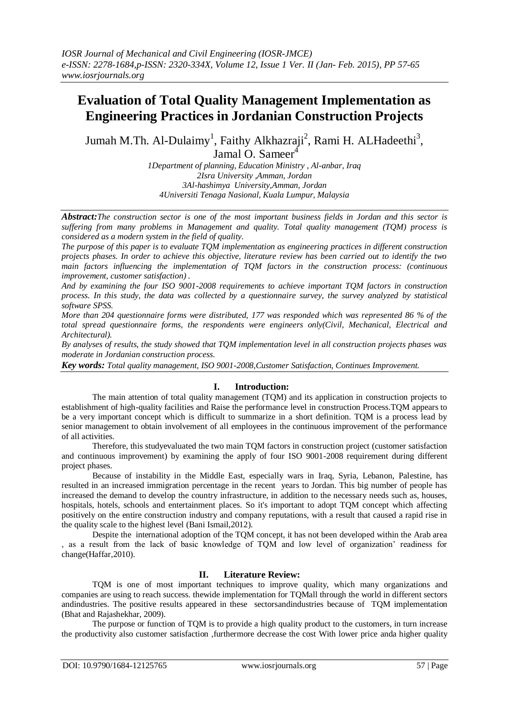# **Evaluation of Total Quality Management Implementation as Engineering Practices in Jordanian Construction Projects**

Jumah M.Th. Al-Dulaimy<sup>1</sup>, Faithy Alkhazraji<sup>2</sup>, Rami H. ALHadeethi<sup>3</sup>, Jamal O. Sameer $\overline{a}$ 

> *1Department of planning, Education Ministry , Al-anbar, Iraq 2Isra University ,Amman, Jordan 3Al-hashimya University,Amman, Jordan 4Universiti Tenaga Nasional, Kuala Lumpur, Malaysia*

*Abstract:The construction sector is one of the most important business fields in Jordan and this sector is suffering from many problems in Management and quality. Total quality management (TQM) process is considered as a modern system in the field of quality.*

*The purpose of this paper is to evaluate TQM implementation as engineering practices in different construction projects phases. In order to achieve this objective, literature review has been carried out to identify the two main factors influencing the implementation of TQM factors in the construction process: (continuous improvement, customer satisfaction) .*

*And by examining the four ISO 9001-2008 requirements to achieve important TQM factors in construction process. In this study, the data was collected by a questionnaire survey, the survey analyzed by statistical software SPSS.*

*More than 204 questionnaire forms were distributed, 177 was responded which was represented 86 % of the total spread questionnaire forms, the respondents were engineers only(Civil, Mechanical, Electrical and Architectural).*

*By analyses of results, the study showed that TQM implementation level in all construction projects phases was moderate in Jordanian construction process.*

*Key words: Total quality management, ISO 9001-2008,Customer Satisfaction, Continues Improvement.*

## **I. Introduction:**

The main attention of total quality management (TQM) and its application in construction projects to establishment of high-quality facilities and Raise the performance level in construction Process.TQM appears to be a very important concept which is difficult to summarize in a short definition. TQM is a process lead by senior management to obtain involvement of all employees in the continuous improvement of the performance of all activities.

Therefore, this studyevaluated the two main TQM factors in construction project (customer satisfaction and continuous improvement) by examining the apply of four ISO 9001-2008 requirement during different project phases.

Because of instability in the Middle East, especially wars in Iraq, Syria, Lebanon, Palestine, has resulted in an increased immigration percentage in the recent years to Jordan. This big number of people has increased the demand to develop the country infrastructure, in addition to the necessary needs such as, houses, hospitals, hotels, schools and entertainment places. So it's important to adopt TQM concept which affecting positively on the entire construction industry and company reputations, with a result that caused a rapid rise in the quality scale to the highest level (Bani Ismail,2012).

Despite the international adoption of the TQM concept, it has not been developed within the Arab area , as a result from the lack of basic knowledge of TQM and low level of organization' readiness for change(Haffar,2010).

## **II. Literature Review:**

TQM is one of most important techniques to improve quality, which many organizations and companies are using to reach success. thewide implementation for TQMall through the world in different sectors andindustries. The positive results appeared in these sectorsandindustries because of TQM implementation (Bhat and Rajashekhar, 2009).

The purpose or function of TQM is to provide a high quality product to the customers, in turn increase the productivity also customer satisfaction ,furthermore decrease the cost With lower price anda higher quality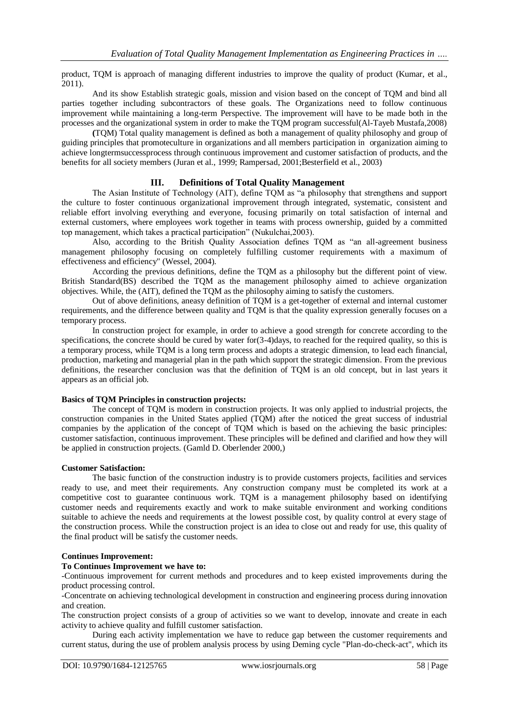product, TQM is approach of managing different industries to improve the quality of product (Kumar, et al., 2011).

And its show Establish strategic goals, mission and vision based on the concept of TQM and bind all parties together including subcontractors of these goals. The Organizations need to follow continuous improvement while maintaining a long-term Perspective. The improvement will have to be made both in the processes and the organizational system in order to make the TQM program successful(Al-Tayeb Mustafa,2008)

**(**TQM) Total quality management is defined as both a management of quality philosophy and group of guiding principles that promoteculture in organizations and all members participation in organization aiming to achieve longtermsuccessprocess through continuous improvement and customer satisfaction of products, and the benefits for all society members (Juran et al., 1999; Rampersad, 2001;Besterfield et al., 2003)

#### **III. Definitions of Total Quality Management**

The Asian Institute of Technology (AIT), define TQM as "a philosophy that strengthens and support the culture to foster continuous organizational improvement through integrated, systematic, consistent and reliable effort involving everything and everyone, focusing primarily on total satisfaction of internal and external customers, where employees work together in teams with process ownership, guided by a committed top management, which takes a practical participation" (Nukulchai,2003).

Also, according to the British Quality Association defines TQM as "an all-agreement business management philosophy focusing on completely fulfilling customer requirements with a maximum of effectiveness and efficiency" (Wessel, 2004).

According the previous definitions, define the TQM as a philosophy but the different point of view. British Standard(BS) described the TQM as the management philosophy aimed to achieve organization objectives. While, the (AIT), defined the TQM as the philosophy aiming to satisfy the customers.

Out of above definitions, aneasy definition of TQM is a get-together of external and internal customer requirements, and the difference between quality and TQM is that the quality expression generally focuses on a temporary process.

In construction project for example, in order to achieve a good strength for concrete according to the specifications, the concrete should be cured by water for $(3-4)$ days, to reached for the required quality, so this is a temporary process, while TQM is a long term process and adopts a strategic dimension, to lead each financial, production, marketing and managerial plan in the path which support the strategic dimension. From the previous definitions, the researcher conclusion was that the definition of TQM is an old concept, but in last years it appears as an official job.

#### **Basics of TQM Principles in construction projects:**

The concept of TQM is modern in construction projects. It was only applied to industrial projects, the construction companies in the United States applied (TQM) after the noticed the great success of industrial companies by the application of the concept of TQM which is based on the achieving the basic principles: customer satisfaction, continuous improvement. These principles will be defined and clarified and how they will be applied in construction projects. (Gamld D. Oberlender 2000,)

#### **Customer Satisfaction:**

The basic function of the construction industry is to provide customers projects, facilities and services ready to use, and meet their requirements. Any construction company must be completed its work at a competitive cost to guarantee continuous work. TQM is a management philosophy based on identifying customer needs and requirements exactly and work to make suitable environment and working conditions suitable to achieve the needs and requirements at the lowest possible cost, by quality control at every stage of the construction process. While the construction project is an idea to close out and ready for use, this quality of the final product will be satisfy the customer needs.

#### **Continues Improvement:**

#### **To Continues Improvement we have to:**

-Continuous improvement for current methods and procedures and to keep existed improvements during the product processing control.

-Concentrate on achieving technological development in construction and engineering process during innovation and creation.

The construction project consists of a group of activities so we want to develop, innovate and create in each activity to achieve quality and fulfill customer satisfaction.

During each activity implementation we have to reduce gap between the customer requirements and current status, during the use of problem analysis process by using Deming cycle "Plan-do-check-act", which its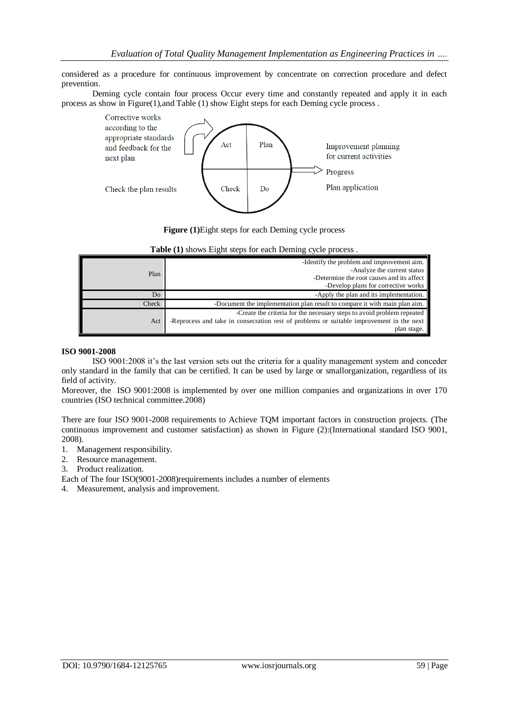considered as a procedure for continuous improvement by concentrate on correction procedure and defect prevention.

Deming cycle contain four process Occur every time and constantly repeated and apply it in each process as show in Figure(1),and Table (1) show Eight steps for each Deming cycle process .





|       | -Identify the problem and improvement aim.<br>-Analyze the current status                                                                                          |
|-------|--------------------------------------------------------------------------------------------------------------------------------------------------------------------|
| Plan  | -Determine the root causes and its affect                                                                                                                          |
|       | -Develop plans for corrective works                                                                                                                                |
| Do    | -Apply the plan and its implementation.                                                                                                                            |
| Check | -Document the implementation plan result to compare it with main plan aim.                                                                                         |
| Act   | -Create the criteria for the necessary steps to avoid problem repeated<br>-Reprocess and take in consecration rest of problems or suitable improvement in the next |
|       | plan stage.                                                                                                                                                        |

#### **Table (1)** shows Eight steps for each Deming cycle process .

#### **ISO 9001-2008**

ISO 9001:2008 it's the last version sets out the criteria for a quality management system and conceder only standard in the family that can be certified. It can be used by large or smallorganization, regardless of its field of activity.

Moreover, the ISO 9001:2008 is implemented by over one million companies and organizations in over 170 countries (ISO technical committee.2008)

There are four ISO 9001-2008 requirements to Achieve TQM important factors in construction projects. (The continuous improvement and customer satisfaction) as shown in Figure (2):(International standard ISO 9001, 2008).

- 1. Management responsibility.
- 2. Resource management.
- 3. Product realization.

Each of The four ISO(9001-2008)requirements includes a number of elements

4. Measurement, analysis and improvement.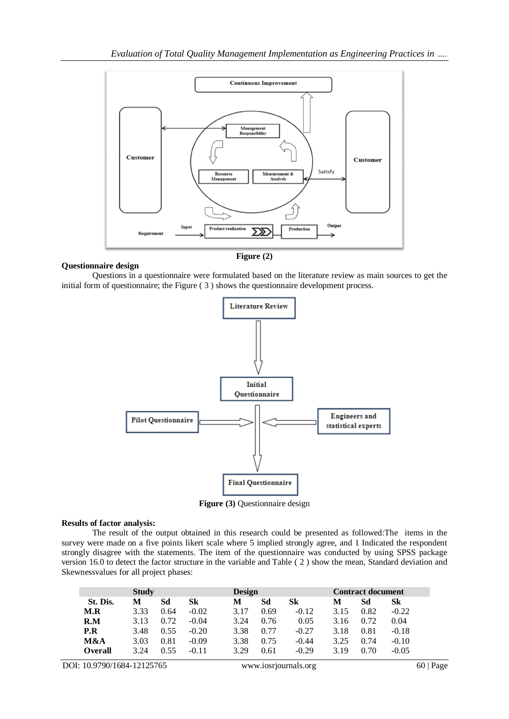

## **Questionnaire design**

Questions in a questionnaire were formulated based on the literature review as main sources to get the initial form of questionnaire; the Figure ( 3 ) shows the questionnaire development process.



**Figure (3)** Questionnaire design

#### **Results of factor analysis:**

The result of the output obtained in this research could be presented as followed:The items in the survey were made on a five points likert scale where 5 implied strongly agree, and 1 Indicated the respondent strongly disagree with the statements. The item of the questionnaire was conducted by using SPSS package version 16.0 to detect the factor structure in the variable and Table ( 2 ) show the mean, Standard deviation and Skewnessvalues for all project phases:

| <b>Study</b>   |      |      |         | <b>Design</b> |      |         | <b>Contract document</b> |      |         |
|----------------|------|------|---------|---------------|------|---------|--------------------------|------|---------|
| St. Dis.       | М    | Sd   | Sk      | М             | Sd   | Sk      | M                        | Sd   | Sk      |
| M.R            | 3.33 | 0.64 | $-0.02$ | 3 17          | 0.69 | $-0.12$ | 315                      | 0.82 | $-0.22$ |
| R.M            | 3 13 | 0.72 | $-0.04$ | 3.24          | 0.76 | 0.05    | 3.16                     | 0.72 | 0.04    |
| P.R            | 3.48 | 0.55 | $-0.20$ | 3.38          | 0.77 | $-0.27$ | 3.18                     | 0.81 | $-0.18$ |
| M&A            | 3.03 | 0.81 | $-0.09$ | 3.38          | 0.75 | $-0.44$ | 3.25                     | 0.74 | $-0.10$ |
| <b>Overall</b> | 3.24 | 0.55 | $-0.11$ | 3.29          | 0.61 | $-0.29$ | 3.19                     | 0.70 | $-0.05$ |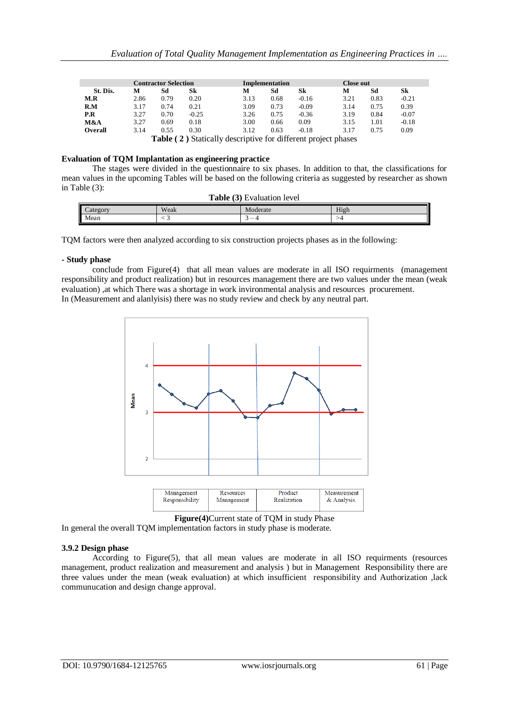| <b>Contractor Selection</b> |      |      |         |                                                                      | Implementation |         |      | Close out |         |
|-----------------------------|------|------|---------|----------------------------------------------------------------------|----------------|---------|------|-----------|---------|
| St. Dis.                    | м    | Sd   | Sk      | м                                                                    | Sd             | Sk      | M    | Sd        | Sk      |
| M.R                         | 2.86 | 0.79 | 0.20    | 3.13                                                                 | 0.68           | $-0.16$ | 3.21 | 0.83      | $-0.21$ |
| R.M                         | 3.17 | 0.74 | 0.21    | 3.09                                                                 | 0.73           | $-0.09$ | 3.14 | 0.75      | 0.39    |
| P.R                         | 3.27 | 0.70 | $-0.25$ | 3.26                                                                 | 0.75           | $-0.36$ | 3.19 | 0.84      | $-0.07$ |
| M&A                         | 3.27 | 0.69 | 0.18    | 3.00                                                                 | 0.66           | 0.09    | 3.15 | 1.01      | $-0.18$ |
| Overall                     | 3.14 | 0.55 | 0.30    | 3.12                                                                 | 0.63           | $-0.18$ | 3.17 | 0.75      | 0.09    |
|                             |      |      |         | <b>Table (2)</b> Statically descriptive for different project phases |                |         |      |           |         |

#### **Evaluation of TQM Implantation as engineering practice**

The stages were divided in the questionnaire to six phases. In addition to that, the classifications for mean values in the upcoming Tables will be based on the following criteria as suggested by researcher as shown in Table (3): **Table (3)** Evaluation 1

| <b>Table</b> (3) Evaluation level |      |          |      |  |  |
|-----------------------------------|------|----------|------|--|--|
| Category                          | Weak | Moderate | High |  |  |
| Mean                              |      | -        |      |  |  |

TQM factors were then analyzed according to six construction projects phases as in the following:

#### **- Study phase**

conclude from Figure(4) that all mean values are moderate in all ISO requirments (management responsibility and product realization) but in resources management there are two values under the mean (weak evaluation) ,at which There was a shortage in work invironmental analysis and resources procurement. In (Measurement and alanlyisis) there was no study review and check by any neutral part.





In general the overall TQM implementation factors in study phase is moderate.

#### **3.9.2 Design phase**

According to Figure(5), that all mean values are moderate in all ISO requirments (resources management, product realization and measurement and analysis ) but in Management Responsibility there are three values under the mean (weak evaluation) at which insufficient responsibility and Authorization ,lack communucation and design change approval.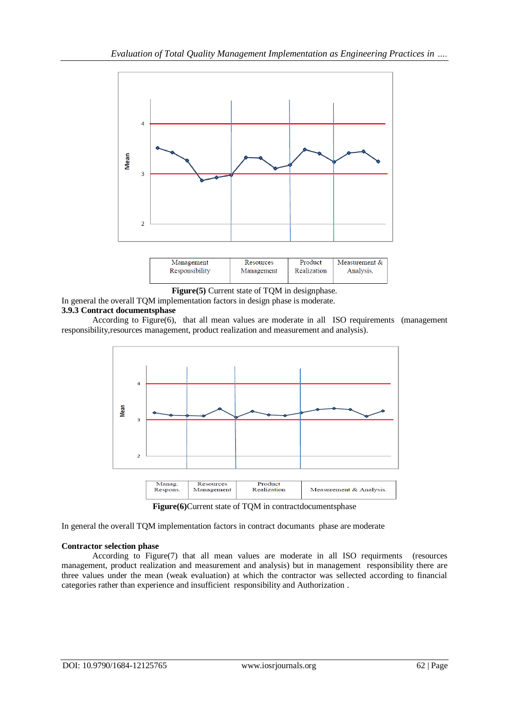

| Responsibility | Management | Realization | Analysis. |
|----------------|------------|-------------|-----------|
|                |            |             |           |

**Figure(5)** Current state of TQM in designphase.

In general the overall TQM implementation factors in design phase is moderate.

# **3.9.3 Contract documentsphase**

According to Figure(6), that all mean values are moderate in all ISO requirements (management responsibility,resources management, product realization and measurement and analysis).



**Figure(6)**Current state of TQM in contractdocumentsphase

In general the overall TQM implementation factors in contract documants phase are moderate

# **Contractor selection phase**

According to Figure(7) that all mean values are moderate in all ISO requirments (resources management, product realization and measurement and analysis) but in management responsibility there are three values under the mean (weak evaluation) at which the contractor was sellected according to financial categories rather than experience and insufficient responsibility and Authorization .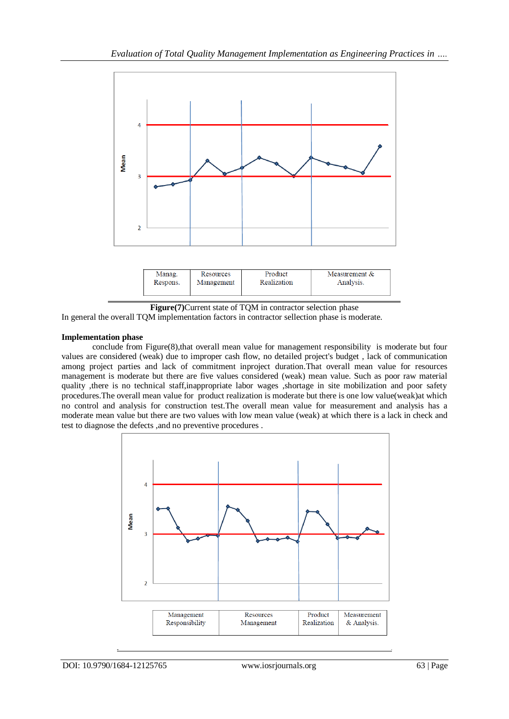

| Manag.   | Resources  | Product     | Measurement $&$ |
|----------|------------|-------------|-----------------|
| Respons. | Management | Realization | Analysis.       |

**Figure(7)**Current state of TQM in contractor selection phase

In general the overall TQM implementation factors in contractor sellection phase is moderate.

# **Implementation phase**

conclude from Figure(8), that overall mean value for management responsibility is moderate but four values are considered (weak) due to improper cash flow, no detailed project's budget , lack of communication among project parties and lack of commitment inproject duration.That overall mean value for resources management is moderate but there are five values considered (weak) mean value. Such as poor raw material quality ,there is no technical staff,inappropriate labor wages ,shortage in site mobilization and poor safety procedures.The overall mean value for product realization is moderate but there is one low value(weak)at which no control and analysis for construction test.The overall mean value for measurement and analysis has a moderate mean value but there are two values with low mean value (weak) at which there is a lack in check and test to diagnose the defects ,and no preventive procedures .

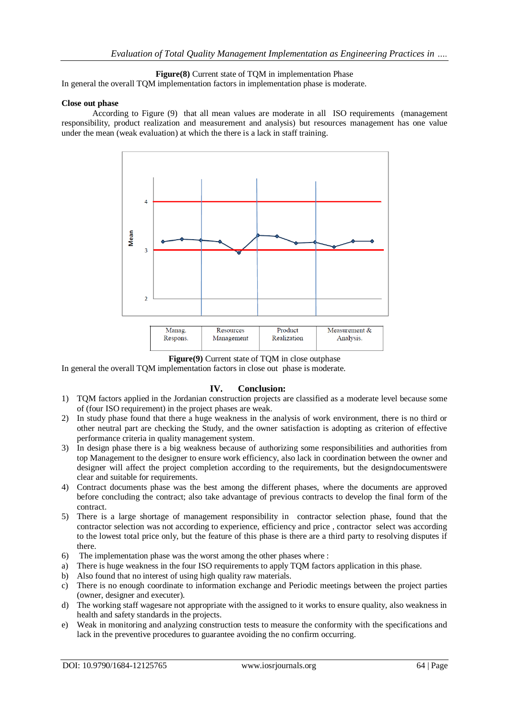**Figure(8)** Current state of TQM in implementation Phase

In general the overall TQM implementation factors in implementation phase is moderate.

#### **Close out phase**

According to Figure (9) that all mean values are moderate in all ISO requirements (management responsibility, product realization and measurement and analysis) but resources management has one value under the mean (weak evaluation) at which the there is a lack in staff training.



**Figure(9)** Current state of TQM in close outphase

In general the overall TQM implementation factors in close out phase is moderate.

## **IV. Conclusion:**

- 1) TQM factors applied in the Jordanian construction projects are classified as a moderate level because some of (four ISO requirement) in the project phases are weak.
- 2) In study phase found that there a huge weakness in the analysis of work environment, there is no third or other neutral part are checking the Study, and the owner satisfaction is adopting as criterion of effective performance criteria in quality management system.
- 3) In design phase there is a big weakness because of authorizing some responsibilities and authorities from top Management to the designer to ensure work efficiency, also lack in coordination between the owner and designer will affect the project completion according to the requirements, but the designdocumentswere clear and suitable for requirements.
- 4) Contract documents phase was the best among the different phases, where the documents are approved before concluding the contract; also take advantage of previous contracts to develop the final form of the contract.
- 5) There is a large shortage of management responsibility in contractor selection phase, found that the contractor selection was not according to experience, efficiency and price , contractor select was according to the lowest total price only, but the feature of this phase is there are a third party to resolving disputes if there.
- 6) The implementation phase was the worst among the other phases where :
- a) There is huge weakness in the four ISO requirements to apply TQM factors application in this phase.
- b) Also found that no interest of using high quality raw materials.
- c) There is no enough coordinate to information exchange and Periodic meetings between the project parties (owner, designer and executer).
- d) The working staff wagesare not appropriate with the assigned to it works to ensure quality, also weakness in health and safety standards in the projects.
- e) Weak in monitoring and analyzing construction tests to measure the conformity with the specifications and lack in the preventive procedures to guarantee avoiding the no confirm occurring.